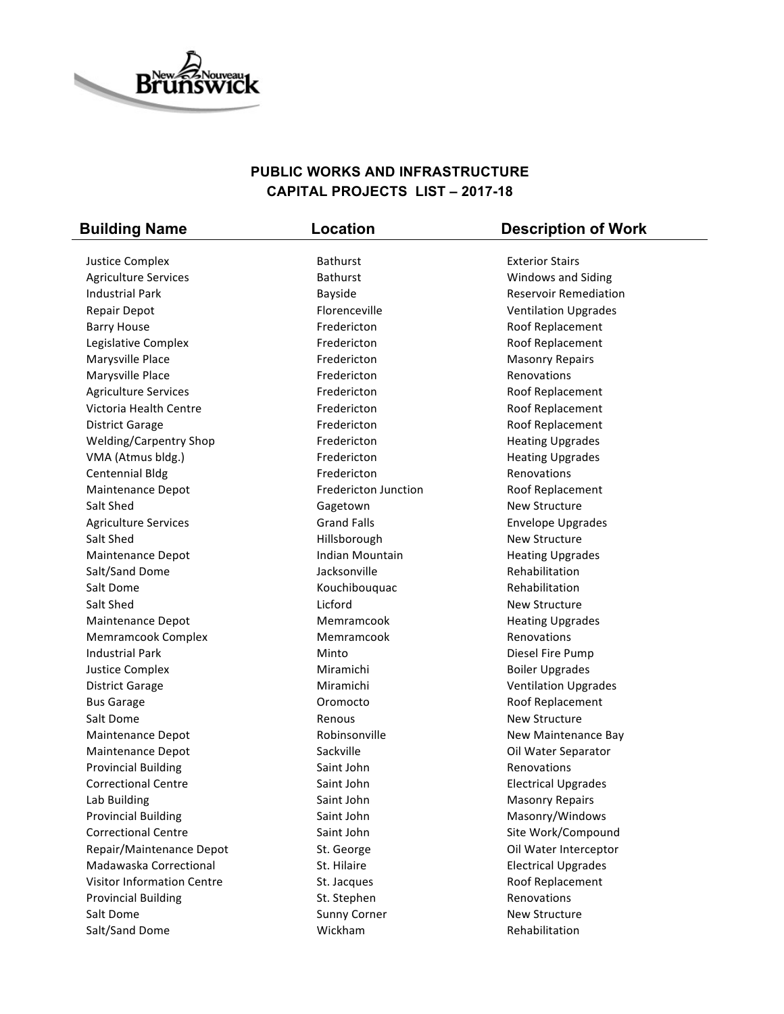

## **PUBLIC WORKS AND INFRASTRUCTURE CAPITAL PROJECTS LIST – 2017-18**

| <b>Building Name</b>           | Location                    | <b>Description of Work</b>         |
|--------------------------------|-----------------------------|------------------------------------|
| Justice Complex                | <b>Bathurst</b>             | <b>Exterior Stairs</b>             |
| <b>Agriculture Services</b>    | <b>Bathurst</b>             | Windows and Siding                 |
| <b>Industrial Park</b>         | Bayside                     | <b>Reservoir Remediation</b>       |
| Repair Depot                   | Florenceville               | <b>Ventilation Upgrades</b>        |
| <b>Barry House</b>             | Fredericton                 | Roof Replacement                   |
| Legislative Complex            | Fredericton                 | Roof Replacement                   |
| Marysville Place               | Fredericton                 | <b>Masonry Repairs</b>             |
| Marysville Place               | Fredericton                 | Renovations                        |
| <b>Agriculture Services</b>    | Fredericton                 | Roof Replacement                   |
| Victoria Health Centre         | Fredericton                 | Roof Replacement                   |
| <b>District Garage</b>         | Fredericton                 | Roof Replacement                   |
| <b>Welding/Carpentry Shop</b>  | Fredericton                 | <b>Heating Upgrades</b>            |
| VMA (Atmus bldg.)              | Fredericton                 | <b>Heating Upgrades</b>            |
| <b>Centennial Bldg</b>         | Fredericton                 | Renovations                        |
| Maintenance Depot              | <b>Fredericton Junction</b> | Roof Replacement                   |
| Salt Shed                      | Gagetown                    | <b>New Structure</b>               |
| <b>Agriculture Services</b>    | <b>Grand Falls</b>          | <b>Envelope Upgrades</b>           |
| Salt Shed                      | Hillsborough                | New Structure                      |
| Maintenance Depot              | Indian Mountain             | <b>Heating Upgrades</b>            |
| Salt/Sand Dome                 | Jacksonville                | Rehabilitation                     |
| Salt Dome                      | Kouchibouquac               | Rehabilitation                     |
| Salt Shed                      | Licford                     | New Structure                      |
| Maintenance Depot              | Memramcook                  | <b>Heating Upgrades</b>            |
| Memramcook Complex             | Memramcook                  | Renovations                        |
| <b>Industrial Park</b>         | Minto                       | Diesel Fire Pump                   |
| <b>Justice Complex</b>         | Miramichi                   | <b>Boiler Upgrades</b>             |
|                                | Miramichi                   | <b>Ventilation Upgrades</b>        |
| <b>District Garage</b>         | Oromocto                    | Roof Replacement                   |
| <b>Bus Garage</b><br>Salt Dome | Renous                      | <b>New Structure</b>               |
| <b>Maintenance Depot</b>       | Robinsonville               |                                    |
|                                |                             | New Maintenance Bay                |
| <b>Maintenance Depot</b>       | Sackville<br>Saint John     | Oil Water Separator<br>Renovations |
| <b>Provincial Building</b>     |                             |                                    |
| <b>Correctional Centre</b>     | Saint John                  | <b>Electrical Upgrades</b>         |
| Lab Building                   | Saint John                  | <b>Masonry Repairs</b>             |
| <b>Provincial Building</b>     | Saint John                  | Masonry/Windows                    |
| <b>Correctional Centre</b>     | Saint John                  | Site Work/Compound                 |
| Repair/Maintenance Depot       | St. George                  | Oil Water Interceptor              |
| Madawaska Correctional         | St. Hilaire                 | <b>Electrical Upgrades</b>         |
| Visitor Information Centre     | St. Jacques                 | Roof Replacement                   |
| <b>Provincial Building</b>     | St. Stephen                 | Renovations                        |
| Salt Dome                      | <b>Sunny Corner</b>         | New Structure                      |
| Salt/Sand Dome                 | Wickham                     | Rehabilitation                     |